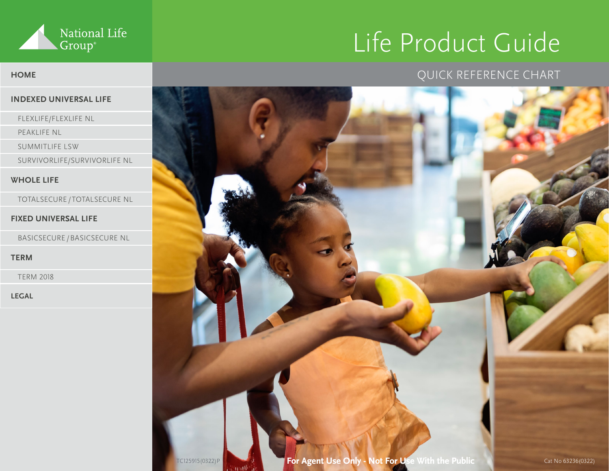

# Life Product Guide

## QUICK REFERENCE CHART

- 
- 
- 
- 

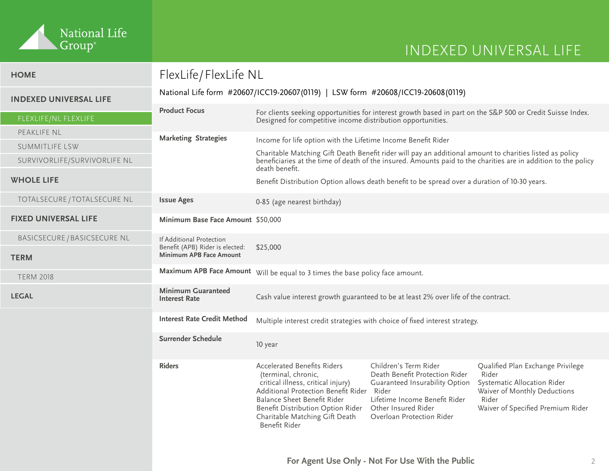

| <b>HOME</b>                   | FlexLife/FlexLife NL                                                            |                                                                                                                                                                                                                                                               |                                                                                                                                                                                         |                                                                                                                                                         |
|-------------------------------|---------------------------------------------------------------------------------|---------------------------------------------------------------------------------------------------------------------------------------------------------------------------------------------------------------------------------------------------------------|-----------------------------------------------------------------------------------------------------------------------------------------------------------------------------------------|---------------------------------------------------------------------------------------------------------------------------------------------------------|
| <b>INDEXED UNIVERSAL LIFE</b> | National Life form #20607/ICC19-20607(0119)   LSW form #20608/ICC19-20608(0119) |                                                                                                                                                                                                                                                               |                                                                                                                                                                                         |                                                                                                                                                         |
|                               | <b>Product Focus</b>                                                            | For clients seeking opportunities for interest growth based in part on the S&P 500 or Credit Suisse Index.                                                                                                                                                    |                                                                                                                                                                                         |                                                                                                                                                         |
| FLEXLIFE/NL FLEXLIFE          |                                                                                 | Designed for competitive income distribution opportunities.                                                                                                                                                                                                   |                                                                                                                                                                                         |                                                                                                                                                         |
| PEAKLIFE NL                   | <b>Marketing Strategies</b>                                                     | Income for life option with the Lifetime Income Benefit Rider                                                                                                                                                                                                 |                                                                                                                                                                                         |                                                                                                                                                         |
| SUMMITLIFE LSW                |                                                                                 | Charitable Matching Gift Death Benefit rider will pay an additional amount to charities listed as policy                                                                                                                                                      |                                                                                                                                                                                         |                                                                                                                                                         |
| SURVIVORLIFE/SURVIVORLIFE NL  |                                                                                 | beneficiaries at the time of death of the insured. Amounts paid to the charities are in addition to the policy<br>death benefit.                                                                                                                              |                                                                                                                                                                                         |                                                                                                                                                         |
| <b>WHOLE LIFE</b>             |                                                                                 | Benefit Distribution Option allows death benefit to be spread over a duration of 10-30 years.                                                                                                                                                                 |                                                                                                                                                                                         |                                                                                                                                                         |
| TOTALSECURE / TOTALSECURE NL  | <b>Issue Ages</b>                                                               | 0-85 (age nearest birthday)                                                                                                                                                                                                                                   |                                                                                                                                                                                         |                                                                                                                                                         |
| <b>FIXED UNIVERSAL LIFE</b>   | Minimum Base Face Amount \$50,000                                               |                                                                                                                                                                                                                                                               |                                                                                                                                                                                         |                                                                                                                                                         |
| BASICSECURE / BASICSECURE NL  | If Additional Protection                                                        | \$25,000                                                                                                                                                                                                                                                      |                                                                                                                                                                                         |                                                                                                                                                         |
| <b>TERM</b>                   | Benefit (APB) Rider is elected:<br>Minimum APB Face Amount                      |                                                                                                                                                                                                                                                               |                                                                                                                                                                                         |                                                                                                                                                         |
| <b>TERM 2018</b>              |                                                                                 | Maximum APB Face Amount Will be equal to 3 times the base policy face amount.                                                                                                                                                                                 |                                                                                                                                                                                         |                                                                                                                                                         |
| <b>LEGAL</b>                  | <b>Minimum Guaranteed</b><br><b>Interest Rate</b>                               | Cash value interest growth guaranteed to be at least 2% over life of the contract.                                                                                                                                                                            |                                                                                                                                                                                         |                                                                                                                                                         |
|                               | <b>Interest Rate Credit Method</b>                                              | Multiple interest credit strategies with choice of fixed interest strategy.                                                                                                                                                                                   |                                                                                                                                                                                         |                                                                                                                                                         |
|                               | <b>Surrender Schedule</b>                                                       | 10 year                                                                                                                                                                                                                                                       |                                                                                                                                                                                         |                                                                                                                                                         |
|                               | <b>Riders</b>                                                                   | <b>Accelerated Benefits Riders</b><br>(terminal, chronic,<br>critical illness, critical injury)<br>Additional Protection Benefit Rider<br>Balance Sheet Benefit Rider<br>Benefit Distribution Option Rider<br>Charitable Matching Gift Death<br>Benefit Rider | Children's Term Rider<br>Death Benefit Protection Rider<br>Guaranteed Insurability Option<br>Rider<br>Lifetime Income Benefit Rider<br>Other Insured Rider<br>Overloan Protection Rider | Qualified Plan Exchange Privilege<br>Rider<br>Systematic Allocation Rider<br>Waiver of Monthly Deductions<br>Rider<br>Waiver of Specified Premium Rider |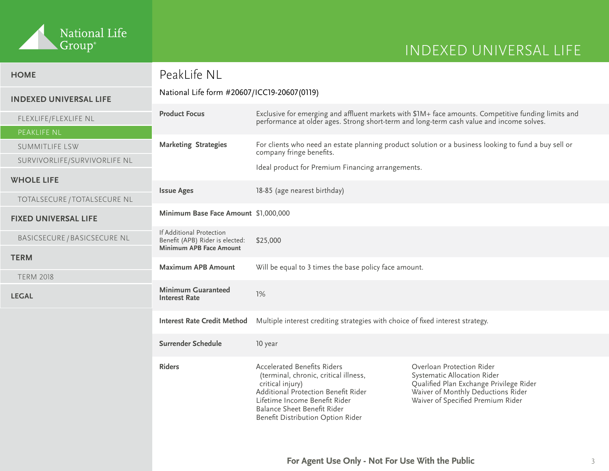

# INDEXED UNIVERSAL LIFE

| <b>HOME</b>                   | PeakLife NL                                                                            |                                                                                                                                                                                                                                             |                                                                                                                                                                                |
|-------------------------------|----------------------------------------------------------------------------------------|---------------------------------------------------------------------------------------------------------------------------------------------------------------------------------------------------------------------------------------------|--------------------------------------------------------------------------------------------------------------------------------------------------------------------------------|
| <b>INDEXED UNIVERSAL LIFE</b> | National Life form #20607/ICC19-20607(0119)                                            |                                                                                                                                                                                                                                             |                                                                                                                                                                                |
| FLEXLIFE/FLEXLIFE NL          | <b>Product Focus</b>                                                                   | performance at older ages. Strong short-term and long-term cash value and income solves.                                                                                                                                                    | Exclusive for emerging and affluent markets with \$1M+ face amounts. Competitive funding limits and                                                                            |
| <b>PEAKLIFE NL</b>            |                                                                                        |                                                                                                                                                                                                                                             |                                                                                                                                                                                |
| <b>SUMMITLIFE LSW</b>         | <b>Marketing Strategies</b>                                                            | company fringe benefits.                                                                                                                                                                                                                    | For clients who need an estate planning product solution or a business looking to fund a buy sell or                                                                           |
| SURVIVORLIFE/SURVIVORLIFE NL  |                                                                                        | Ideal product for Premium Financing arrangements.                                                                                                                                                                                           |                                                                                                                                                                                |
| <b>WHOLE LIFE</b>             |                                                                                        |                                                                                                                                                                                                                                             |                                                                                                                                                                                |
| TOTALSECURE / TOTALSECURE NL  | <b>Issue Ages</b>                                                                      | 18-85 (age nearest birthday)                                                                                                                                                                                                                |                                                                                                                                                                                |
| <b>FIXED UNIVERSAL LIFE</b>   | Minimum Base Face Amount \$1,000,000                                                   |                                                                                                                                                                                                                                             |                                                                                                                                                                                |
| BASICSECURE / BASICSECURE NL  | If Additional Protection<br>Benefit (APB) Rider is elected:<br>Minimum APB Face Amount | \$25,000                                                                                                                                                                                                                                    |                                                                                                                                                                                |
| <b>TERM</b>                   |                                                                                        |                                                                                                                                                                                                                                             |                                                                                                                                                                                |
| <b>TERM 2018</b>              | <b>Maximum APB Amount</b>                                                              | Will be equal to 3 times the base policy face amount.                                                                                                                                                                                       |                                                                                                                                                                                |
| <b>LEGAL</b>                  | <b>Minimum Guaranteed</b><br><b>Interest Rate</b>                                      | 1%                                                                                                                                                                                                                                          |                                                                                                                                                                                |
|                               | <b>Interest Rate Credit Method</b>                                                     | Multiple interest crediting strategies with choice of fixed interest strategy.                                                                                                                                                              |                                                                                                                                                                                |
|                               | <b>Surrender Schedule</b>                                                              | 10 year                                                                                                                                                                                                                                     |                                                                                                                                                                                |
|                               | <b>Riders</b>                                                                          | <b>Accelerated Benefits Riders</b><br>(terminal, chronic, critical illness,<br>critical injury)<br>Additional Protection Benefit Rider<br>Lifetime Income Benefit Rider<br>Balance Sheet Benefit Rider<br>Benefit Distribution Option Rider | Overloan Protection Rider<br>Systematic Allocation Rider<br>Qualified Plan Exchange Privilege Rider<br>Waiver of Monthly Deductions Rider<br>Waiver of Specified Premium Rider |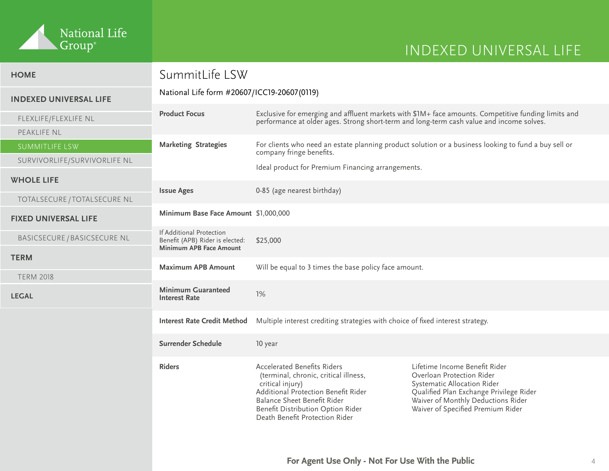

| <b>HOME</b>                                       | SummitLife LSW                                                                         |                                                                                                                                                                                                                                              |                                                                                                                                                                                                                 |
|---------------------------------------------------|----------------------------------------------------------------------------------------|----------------------------------------------------------------------------------------------------------------------------------------------------------------------------------------------------------------------------------------------|-----------------------------------------------------------------------------------------------------------------------------------------------------------------------------------------------------------------|
| <b>INDEXED UNIVERSAL LIFE</b>                     | National Life form #20607/ICC19-20607(0119)                                            |                                                                                                                                                                                                                                              |                                                                                                                                                                                                                 |
| FLEXLIFE/FLEXLIFE NL                              | <b>Product Focus</b>                                                                   |                                                                                                                                                                                                                                              | Exclusive for emerging and affluent markets with \$1M+ face amounts. Competitive funding limits and<br>performance at older ages. Strong short-term and long-term cash value and income solves.                 |
| PEAKLIFE NL<br>SUMMITLIFE LSW                     | <b>Marketing Strategies</b>                                                            |                                                                                                                                                                                                                                              | For clients who need an estate planning product solution or a business looking to fund a buy sell or                                                                                                            |
| SURVIVORLIFE/SURVIVORLIFE NL                      |                                                                                        | company fringe benefits.<br>Ideal product for Premium Financing arrangements.                                                                                                                                                                |                                                                                                                                                                                                                 |
| <b>WHOLE LIFE</b><br>TOTALSECURE / TOTALSECURE NL | <b>Issue Ages</b>                                                                      | 0-85 (age nearest birthday)                                                                                                                                                                                                                  |                                                                                                                                                                                                                 |
| <b>FIXED UNIVERSAL LIFE</b>                       | Minimum Base Face Amount \$1,000,000                                                   |                                                                                                                                                                                                                                              |                                                                                                                                                                                                                 |
| BASICSECURE / BASICSECURE NL                      | If Additional Protection<br>Benefit (APB) Rider is elected:<br>Minimum APB Face Amount | \$25,000                                                                                                                                                                                                                                     |                                                                                                                                                                                                                 |
| <b>TERM</b><br><b>TERM 2018</b>                   | <b>Maximum APB Amount</b>                                                              | Will be equal to 3 times the base policy face amount.                                                                                                                                                                                        |                                                                                                                                                                                                                 |
| <b>LEGAL</b>                                      | <b>Minimum Guaranteed</b><br><b>Interest Rate</b>                                      | 1%                                                                                                                                                                                                                                           |                                                                                                                                                                                                                 |
|                                                   | <b>Interest Rate Credit Method</b>                                                     | Multiple interest crediting strategies with choice of fixed interest strategy.                                                                                                                                                               |                                                                                                                                                                                                                 |
|                                                   | Surrender Schedule                                                                     | 10 year                                                                                                                                                                                                                                      |                                                                                                                                                                                                                 |
|                                                   | <b>Riders</b>                                                                          | <b>Accelerated Benefits Riders</b><br>(terminal, chronic, critical illness,<br>critical injury)<br>Additional Protection Benefit Rider<br>Balance Sheet Benefit Rider<br>Benefit Distribution Option Rider<br>Death Benefit Protection Rider | Lifetime Income Benefit Rider<br>Overloan Protection Rider<br>Systematic Allocation Rider<br>Qualified Plan Exchange Privilege Rider<br>Waiver of Monthly Deductions Rider<br>Waiver of Specified Premium Rider |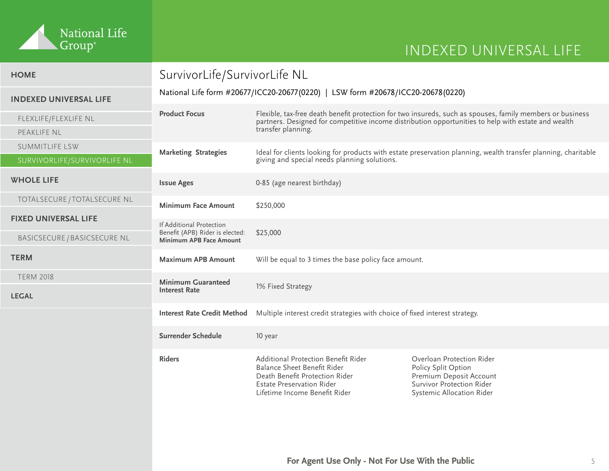

| <b>HOME</b>                   | SurvivorLife/SurvivorLife NL                                                      |                                                                                                                                                                                                                  |                                                                                                                                              |  |
|-------------------------------|-----------------------------------------------------------------------------------|------------------------------------------------------------------------------------------------------------------------------------------------------------------------------------------------------------------|----------------------------------------------------------------------------------------------------------------------------------------------|--|
| <b>INDEXED UNIVERSAL LIFE</b> | National Life form #20677/ICC20-20677 (0220)   LSW form #20678/ICC20-20678 (0220) |                                                                                                                                                                                                                  |                                                                                                                                              |  |
| FLEXLIFE/FLEXLIFE NL          | <b>Product Focus</b>                                                              | Flexible, tax-free death benefit protection for two insureds, such as spouses, family members or business<br>partners. Designed for competitive income distribution opportunities to help with estate and wealth |                                                                                                                                              |  |
| PEAKLIFE NL                   |                                                                                   | transfer planning.                                                                                                                                                                                               |                                                                                                                                              |  |
| <b>SUMMITLIFE LSW</b>         | <b>Marketing Strategies</b>                                                       | Ideal for clients looking for products with estate preservation planning, wealth transfer planning, charitable<br>giving and special needs planning solutions.                                                   |                                                                                                                                              |  |
| SURVIVORLIFE/SURVIVORLIFE NL  |                                                                                   |                                                                                                                                                                                                                  |                                                                                                                                              |  |
| <b>WHOLE LIFE</b>             | <b>Issue Ages</b>                                                                 | 0-85 (age nearest birthday)                                                                                                                                                                                      |                                                                                                                                              |  |
| TOTALSECURE / TOTALSECURE NL  | <b>Minimum Face Amount</b>                                                        | \$250,000                                                                                                                                                                                                        |                                                                                                                                              |  |
| <b>FIXED UNIVERSAL LIFE</b>   | If Additional Protection                                                          |                                                                                                                                                                                                                  |                                                                                                                                              |  |
| BASICSECURE / BASICSECURE NL  | Benefit (APB) Rider is elected:<br>Minimum APB Face Amount                        | \$25,000                                                                                                                                                                                                         |                                                                                                                                              |  |
| <b>TERM</b>                   | <b>Maximum APB Amount</b>                                                         | Will be equal to 3 times the base policy face amount.                                                                                                                                                            |                                                                                                                                              |  |
| <b>TERM 2018</b>              | <b>Minimum Guaranteed</b><br><b>Interest Rate</b>                                 | 1% Fixed Strategy                                                                                                                                                                                                |                                                                                                                                              |  |
| <b>LEGAL</b>                  |                                                                                   |                                                                                                                                                                                                                  |                                                                                                                                              |  |
|                               | <b>Interest Rate Credit Method</b>                                                | Multiple interest credit strategies with choice of fixed interest strategy.                                                                                                                                      |                                                                                                                                              |  |
|                               | Surrender Schedule                                                                | 10 year                                                                                                                                                                                                          |                                                                                                                                              |  |
|                               | <b>Riders</b>                                                                     | Additional Protection Benefit Rider<br>Balance Sheet Benefit Rider<br>Death Benefit Protection Rider<br><b>Estate Preservation Rider</b><br>Lifetime Income Benefit Rider                                        | Overloan Protection Rider<br>Policy Split Option<br>Premium Deposit Account<br><b>Survivor Protection Rider</b><br>Systemic Allocation Rider |  |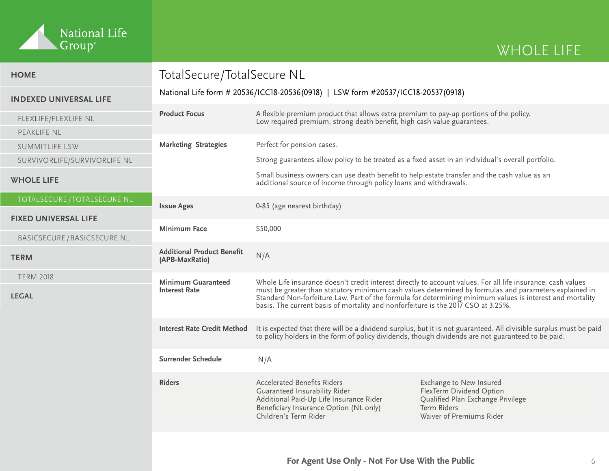

| <b>HOME</b>                                                 | TotalSecure/TotalSecure NL                                                       |                                                                                                                                                                                                                          |                                                                                                                                                                                                                                                                                                                                    |  |
|-------------------------------------------------------------|----------------------------------------------------------------------------------|--------------------------------------------------------------------------------------------------------------------------------------------------------------------------------------------------------------------------|------------------------------------------------------------------------------------------------------------------------------------------------------------------------------------------------------------------------------------------------------------------------------------------------------------------------------------|--|
| <b>INDEXED UNIVERSAL LIFE</b>                               | National Life form # 20536/ICC18-20536(0918)   LSW form #20537/ICC18-20537(0918) |                                                                                                                                                                                                                          |                                                                                                                                                                                                                                                                                                                                    |  |
| FLEXLIFE/FLEXLIFE NL                                        | <b>Product Focus</b>                                                             | A flexible premium product that allows extra premium to pay-up portions of the policy.<br>Low required premium, strong death benefit, high cash value guarantees.                                                        |                                                                                                                                                                                                                                                                                                                                    |  |
| PEAKLIFE NL                                                 |                                                                                  |                                                                                                                                                                                                                          |                                                                                                                                                                                                                                                                                                                                    |  |
| SUMMITLIFE LSW                                              | <b>Marketing Strategies</b>                                                      | Perfect for pension cases.                                                                                                                                                                                               |                                                                                                                                                                                                                                                                                                                                    |  |
| SURVIVORLIFE/SURVIVORLIFE NL                                |                                                                                  | Strong guarantees allow policy to be treated as a fixed asset in an individual's overall portfolio.                                                                                                                      |                                                                                                                                                                                                                                                                                                                                    |  |
| <b>WHOLE LIFE</b>                                           |                                                                                  | Small business owners can use death benefit to help estate transfer and the cash value as an<br>additional source of income through policy loans and withdrawals.                                                        |                                                                                                                                                                                                                                                                                                                                    |  |
| TOTALSECURE / TOTALSECURE NL<br><b>FIXED UNIVERSAL LIFE</b> | <b>Issue Ages</b>                                                                | 0-85 (age nearest birthday)                                                                                                                                                                                              |                                                                                                                                                                                                                                                                                                                                    |  |
| BASICSECURE / BASICSECURE NL                                | <b>Minimum Face</b>                                                              | \$50,000                                                                                                                                                                                                                 |                                                                                                                                                                                                                                                                                                                                    |  |
| <b>TERM</b>                                                 | <b>Additional Product Benefit</b><br>(APB-MaxRatio)                              | N/A                                                                                                                                                                                                                      |                                                                                                                                                                                                                                                                                                                                    |  |
| <b>TERM 2018</b><br><b>LEGAL</b>                            | <b>Minimum Guaranteed</b><br><b>Interest Rate</b>                                | basis. The current basis of mortality and nonforfeiture is the 2017 CSO at 3.25%.                                                                                                                                        | Whole Life insurance doesn't credit interest directly to account values. For all life insurance, cash values<br>must be greater than statutory minimum cash values determined by formulas and parameters explained in<br>Standard Non-forfeiture Law. Part of the formula for determining minimum values is interest and mortality |  |
|                                                             | <b>Interest Rate Credit Method</b>                                               | It is expected that there will be a dividend surplus, but it is not guaranteed. All divisible surplus must be paid<br>to policy holders in the form of policy dividends, though dividends are not guaranteed to be paid. |                                                                                                                                                                                                                                                                                                                                    |  |
|                                                             | Surrender Schedule                                                               | N/A                                                                                                                                                                                                                      |                                                                                                                                                                                                                                                                                                                                    |  |
|                                                             | <b>Riders</b>                                                                    | <b>Accelerated Benefits Riders</b><br>Guaranteed Insurability Rider<br>Additional Paid-Up Life Insurance Rider<br>Beneficiary Insurance Option (NL only)<br>Children's Term Rider                                        | Exchange to New Insured<br>FlexTerm Dividend Option<br>Qualified Plan Exchange Privilege<br>Term Riders<br>Waiver of Premiums Rider                                                                                                                                                                                                |  |
|                                                             |                                                                                  |                                                                                                                                                                                                                          |                                                                                                                                                                                                                                                                                                                                    |  |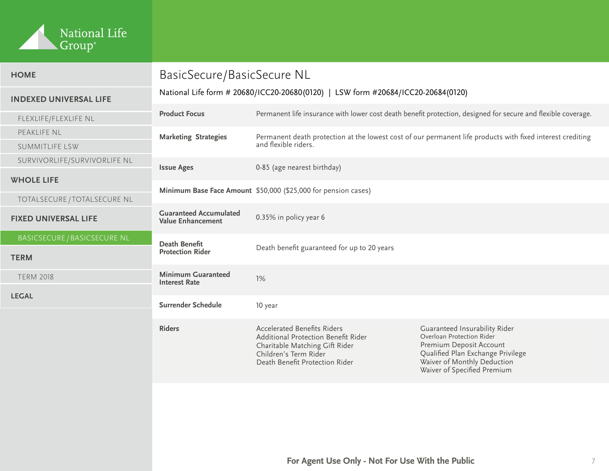

| <b>HOME</b>                                       | BasicSecure/BasicSecure NL<br>National Life form # 20680/ICC20-20680(0120)   LSW form #20684/ICC20-20684(0120) |                                                                                                                                                                        |                                                                                                                                                                                          |
|---------------------------------------------------|----------------------------------------------------------------------------------------------------------------|------------------------------------------------------------------------------------------------------------------------------------------------------------------------|------------------------------------------------------------------------------------------------------------------------------------------------------------------------------------------|
| <b>INDEXED UNIVERSAL LIFE</b>                     |                                                                                                                |                                                                                                                                                                        |                                                                                                                                                                                          |
| FLEXLIFE/FLEXLIFE NL                              | <b>Product Focus</b>                                                                                           |                                                                                                                                                                        | Permanent life insurance with lower cost death benefit protection, designed for secure and flexible coverage.                                                                            |
| PEAKLIFE NL                                       | <b>Marketing Strategies</b>                                                                                    | Permanent death protection at the lowest cost of our permanent life products with fixed interest crediting<br>and flexible riders.                                     |                                                                                                                                                                                          |
| <b>SUMMITLIFE LSW</b>                             |                                                                                                                |                                                                                                                                                                        |                                                                                                                                                                                          |
| SURVIVORLIFE/SURVIVORLIFE NL                      | <b>Issue Ages</b>                                                                                              | 0-85 (age nearest birthday)                                                                                                                                            |                                                                                                                                                                                          |
| <b>WHOLE LIFE</b><br>TOTALSECURE / TOTALSECURE NL |                                                                                                                | Minimum Base Face Amount \$50,000 (\$25,000 for pension cases)                                                                                                         |                                                                                                                                                                                          |
| <b>FIXED UNIVERSAL LIFE</b>                       | <b>Guaranteed Accumulated</b><br><b>Value Enhancement</b>                                                      | 0.35% in policy year 6                                                                                                                                                 |                                                                                                                                                                                          |
| <b>BASICSECURE / BASICSECURE NL</b>               | <b>Death Benefit</b><br><b>Protection Rider</b>                                                                | Death benefit guaranteed for up to 20 years                                                                                                                            |                                                                                                                                                                                          |
| <b>TERM</b>                                       |                                                                                                                |                                                                                                                                                                        |                                                                                                                                                                                          |
| <b>TERM 2018</b>                                  | <b>Minimum Guaranteed</b><br><b>Interest Rate</b>                                                              | 1%                                                                                                                                                                     |                                                                                                                                                                                          |
| <b>LEGAL</b>                                      |                                                                                                                |                                                                                                                                                                        |                                                                                                                                                                                          |
|                                                   | Surrender Schedule                                                                                             | 10 year                                                                                                                                                                |                                                                                                                                                                                          |
|                                                   | <b>Riders</b>                                                                                                  | <b>Accelerated Benefits Riders</b><br>Additional Protection Benefit Rider<br>Charitable Matching Gift Rider<br>Children's Term Rider<br>Death Benefit Protection Rider | Guaranteed Insurability Rider<br>Overloan Protection Rider<br>Premium Deposit Account<br>Qualified Plan Exchange Privilege<br>Waiver of Monthly Deduction<br>Waiver of Specified Premium |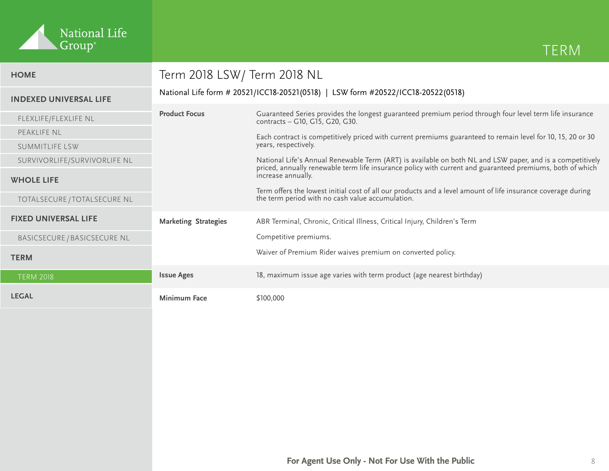

| <b>HOME</b>                                       | Term 2018 LSW/Term 2018 NL                                                       |                                                                                                                                                                                                                                              |  |
|---------------------------------------------------|----------------------------------------------------------------------------------|----------------------------------------------------------------------------------------------------------------------------------------------------------------------------------------------------------------------------------------------|--|
| <b>INDEXED UNIVERSAL LIFE</b>                     | National Life form # 20521/ICC18-20521(0518)   LSW form #20522/ICC18-20522(0518) |                                                                                                                                                                                                                                              |  |
| FLEXLIFE/FLEXLIFE NL                              | <b>Product Focus</b>                                                             | Guaranteed Series provides the longest guaranteed premium period through four level term life insurance<br>contracts - G10, G15, G20, G30.                                                                                                   |  |
| PEAKLIFE NL<br>SUMMITLIFE LSW                     |                                                                                  | Each contract is competitively priced with current premiums guaranteed to remain level for 10, 15, 20 or 30<br>years, respectively.                                                                                                          |  |
| SURVIVORLIFE/SURVIVORLIFE NL<br><b>WHOLE LIFE</b> |                                                                                  | National Life's Annual Renewable Term (ART) is available on both NL and LSW paper, and is a competitively<br>priced, annually renewable term life insurance policy with current and guaranteed premiums, both of which<br>increase annually. |  |
| TOTALSECURE / TOTALSECURE NL                      |                                                                                  | Term offers the lowest initial cost of all our products and a level amount of life insurance coverage during<br>the term period with no cash value accumulation.                                                                             |  |
| <b>FIXED UNIVERSAL LIFE</b>                       | <b>Marketing Strategies</b>                                                      | ABR Terminal, Chronic, Critical Illness, Critical Injury, Children's Term                                                                                                                                                                    |  |
| BASICSECURE / BASICSECURE NL                      |                                                                                  | Competitive premiums.                                                                                                                                                                                                                        |  |
| <b>TERM</b>                                       |                                                                                  | Waiver of Premium Rider waives premium on converted policy.                                                                                                                                                                                  |  |
| <b>TERM 2018</b>                                  | <b>Issue Ages</b>                                                                | 18, maximum issue age varies with term product (age nearest birthday)                                                                                                                                                                        |  |
| <b>LEGAL</b>                                      | <b>Minimum Face</b>                                                              | \$100,000                                                                                                                                                                                                                                    |  |